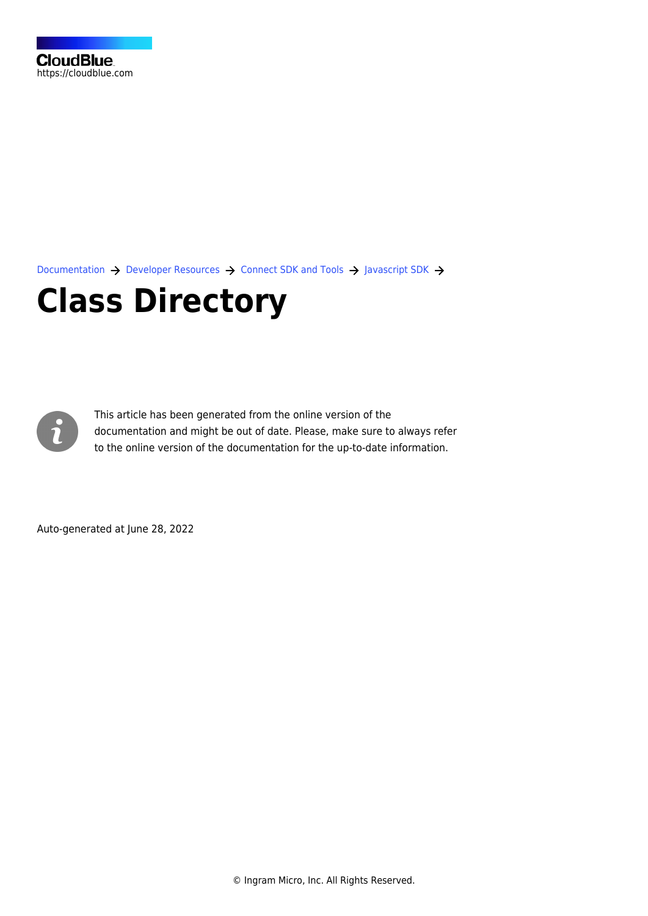[Documentation](https://connect.cloudblue.com/documentation)  $\rightarrow$  [Developer Resources](https://connect.cloudblue.com/community/developers/)  $\rightarrow$  [Connect SDK and Tools](https://connect.cloudblue.com/community/developers/sdk/)  $\rightarrow$  [Javascript SDK](https://connect.cloudblue.com/community/developers/sdk/javascript-sdk/)  $\rightarrow$ 

# **[Class Directory](https://connect.cloudblue.com/community/developers/sdk/javascript-sdk/class-directory/)**



This article has been generated from the online version of the documentation and might be out of date. Please, make sure to always refer to the online version of the documentation for the up-to-date information.

Auto-generated at June 28, 2022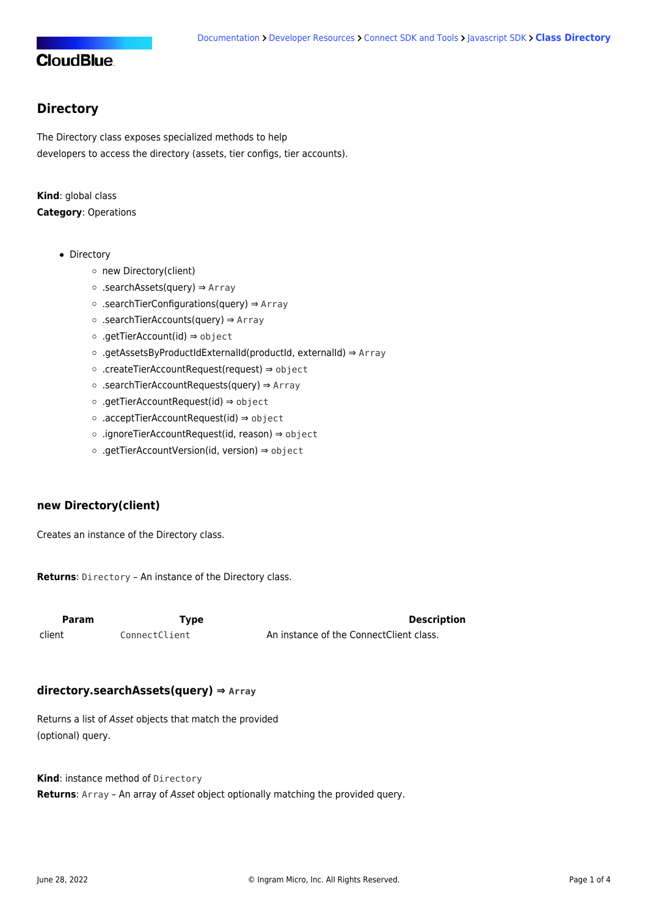#### <span id="page-1-0"></span>**Directory**

The Directory class exposes specialized methods to help developers to access the directory (assets, tier configs, tier accounts).

#### **Kind**: global class **Category**: Operations

- [Directory](#page-1-0)
	- o [new Directory\(client\)](#page-1-1)
	- [.searchAssets\(query\)](#page-1-2) ⇒ Array
	- [.searchTierConfigurations\(query\)](#page-2-0) ⇒ Array
	- [.searchTierAccounts\(query\)](#page-2-1) ⇒ Array
	- [.getTierAccount\(id\)](#page-2-2) ⇒ object
	- [.getAssetsByProductIdExternalId\(productId, externalId\)](#page-2-3) ⇒ Array
	- [.createTierAccountRequest\(request\)](#page-3-0) ⇒ object
	- [.searchTierAccountRequests\(query\)](#page-3-1) ⇒ Array
	- [.getTierAccountRequest\(id\)](#page-3-2) ⇒ object
	- [.acceptTierAccountRequest\(id\)](#page-4-0) ⇒ object
	- [.ignoreTierAccountRequest\(id, reason\)](#page-4-1) ⇒ object
	- [.getTierAccountVersion\(id, version\)](#page-4-2) ⇒ object

#### <span id="page-1-1"></span>**new Directory(client)**

Creates an instance of the Directory class.

**Returns**: [Directory](#page-1-0) – An instance of the Directory class.

<span id="page-1-2"></span>

| Param  | <b>Type</b>   | <b>Description</b>                      |  |
|--------|---------------|-----------------------------------------|--|
| client | ConnectClient | An instance of the ConnectClient class. |  |

#### **directory.searchAssets(query) ⇒ Array**

Returns a list of Asset objects that match the provided (optional) query.

**Kind**: instance method of [Directory](#page-1-0)

**Returns**: Array – An array of Asset object optionally matching the provided query.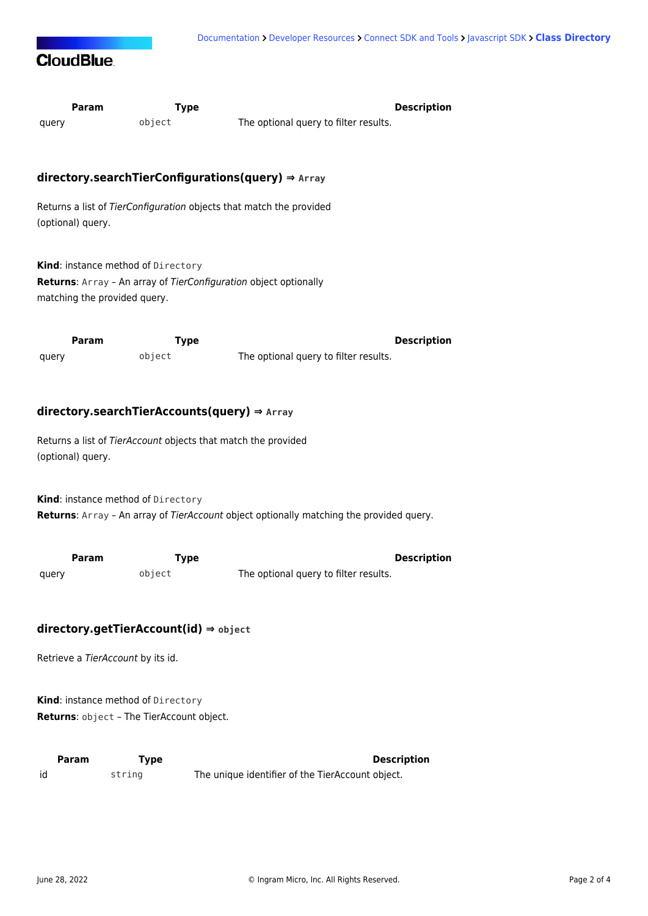

<span id="page-2-3"></span><span id="page-2-2"></span><span id="page-2-1"></span><span id="page-2-0"></span>

| Param<br>query                                                                                                                                                                                                                                                                        | <b>Type</b><br>object | <b>Description</b><br>The optional query to filter results.            |  |
|---------------------------------------------------------------------------------------------------------------------------------------------------------------------------------------------------------------------------------------------------------------------------------------|-----------------------|------------------------------------------------------------------------|--|
|                                                                                                                                                                                                                                                                                       |                       |                                                                        |  |
|                                                                                                                                                                                                                                                                                       |                       | directory.searchTierConfigurations(query) ⇒ Array                      |  |
| (optional) query.                                                                                                                                                                                                                                                                     |                       | Returns a list of TierConfiguration objects that match the provided    |  |
| Kind: instance method of Directory<br>Returns: Array - An array of TierConfiguration object optionally<br>matching the provided query.                                                                                                                                                |                       |                                                                        |  |
| Param                                                                                                                                                                                                                                                                                 | <b>Type</b>           | <b>Description</b>                                                     |  |
| query                                                                                                                                                                                                                                                                                 | object                | The optional query to filter results.                                  |  |
| $directory.searchTierAccounts(query) \Rightarrow Array$<br>Returns a list of TierAccount objects that match the provided<br>(optional) query.<br>Kind: instance method of Directory<br><b>Returns:</b> Array - An array of TierAccount object optionally matching the provided query. |                       |                                                                        |  |
| Param<br>query                                                                                                                                                                                                                                                                        | <b>Type</b><br>object | <b>Description</b><br>The optional query to filter results.            |  |
| $directory.getTierAccount(id) \Rightarrow object$<br>Retrieve a TierAccount by its id.<br>Kind: instance method of Directory<br>Returns: object - The TierAccount object.                                                                                                             |                       |                                                                        |  |
| Param<br>id                                                                                                                                                                                                                                                                           | <b>Type</b><br>string | <b>Description</b><br>The unique identifier of the TierAccount object. |  |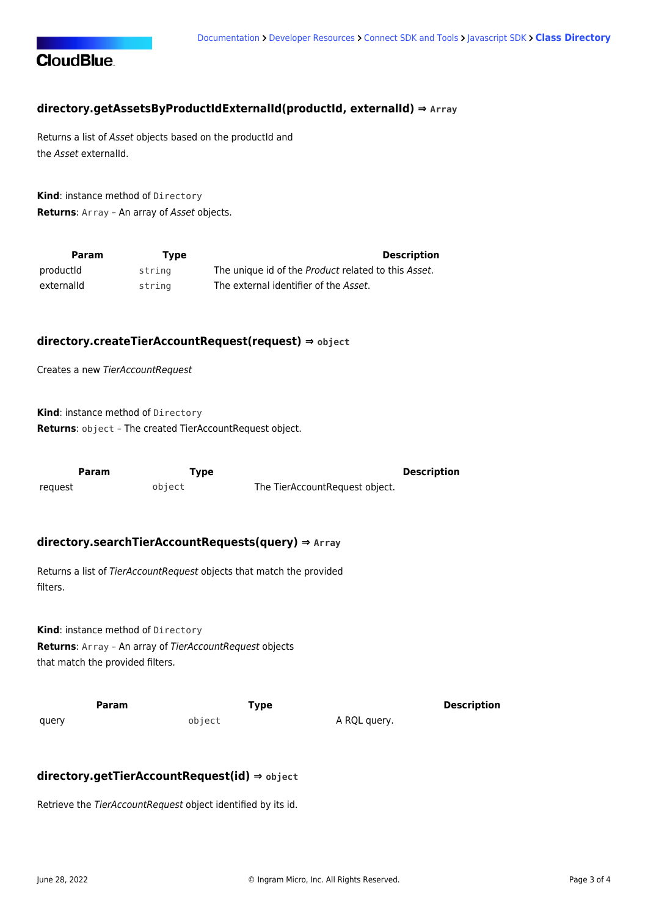

#### **directory.getAssetsByProductIdExternalId(productId, externalId) ⇒ Array**

Returns a list of Asset objects based on the productId and the Asset externalId.

**Kind**: instance method of [Directory](#page-1-0) **Returns**: Array – An array of Asset objects.

| Param      | Type   | <b>Description</b>                                  |
|------------|--------|-----------------------------------------------------|
| productid  | string | The unique id of the Product related to this Asset. |
| externalid | string | The external identifier of the Asset.               |

#### <span id="page-3-0"></span>**directory.createTierAccountRequest(request) ⇒ object**

Creates a new TierAccountRequest

**Kind**: instance method of [Directory](#page-1-0) **Returns**: object – The created TierAccountRequest object.

<span id="page-3-1"></span>

| Param   | Type   |                                | Description |
|---------|--------|--------------------------------|-------------|
| reguest | object | The TierAccountRequest object. |             |

#### **directory.searchTierAccountRequests(query) ⇒ Array**

Returns a list of TierAccountRequest objects that match the provided filters.

**Kind**: instance method of [Directory](#page-1-0) **Returns**: Array – An array of TierAccountRequest objects that match the provided filters.

<span id="page-3-2"></span>**Param Type Type Description** query **object A RQL query.** 

#### **directory.getTierAccountRequest(id) ⇒ object**

Retrieve the TierAccountRequest object identified by its id.